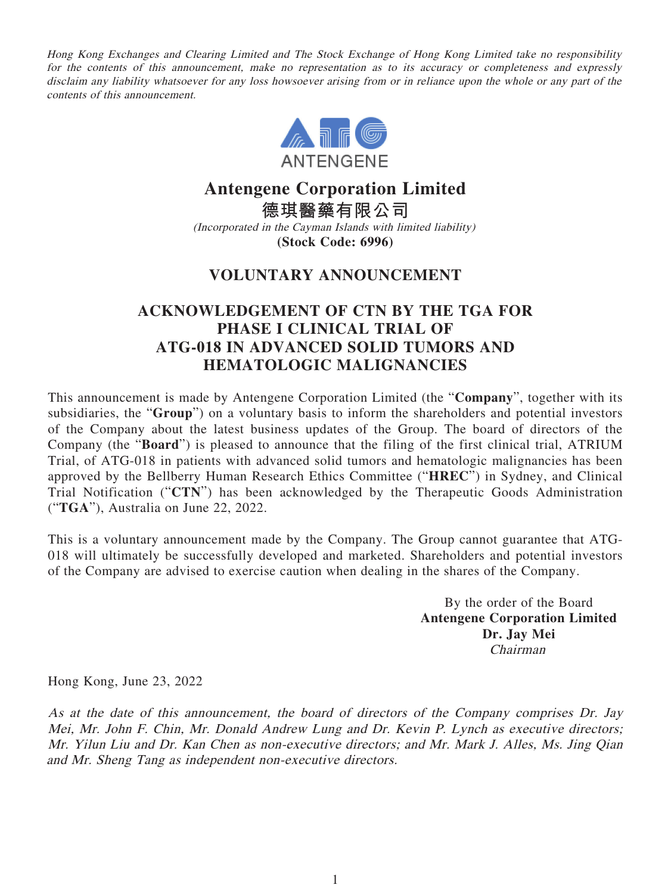Hong Kong Exchanges and Clearing Limited and The Stock Exchange of Hong Kong Limited take no responsibility for the contents of this announcement, make no representation as to its accuracy or completeness and expressly disclaim any liability whatsoever for any loss howsoever arising from or in reliance upon the whole or any part of the contents of this announcement.



# **Antengene Corporation Limited**

**德琪醫藥有限公司** (Incorporated in the Cayman Islands with limited liability) **(Stock Code: 6996)**

### **VOLUNTARY ANNOUNCEMENT**

## **ACKNOWLEDGEMENT OF CTN BY THE TGA FOR PHASE I CLINICAL TRIAL OF ATG-018 IN ADVANCED SOLID TUMORS AND HEMATOLOGIC MALIGNANCIES**

This announcement is made by Antengene Corporation Limited (the "**Company**", together with its subsidiaries, the "**Group**") on a voluntary basis to inform the shareholders and potential investors of the Company about the latest business updates of the Group. The board of directors of the Company (the "**Board**") is pleased to announce that the filing of the first clinical trial, ATRIUM Trial, of ATG-018 in patients with advanced solid tumors and hematologic malignancies has been approved by the Bellberry Human Research Ethics Committee ("**HREC**") in Sydney, and Clinical Trial Notification ("**CTN**") has been acknowledged by the Therapeutic Goods Administration ("**TGA**"), Australia on June 22, 2022.

This is a voluntary announcement made by the Company. The Group cannot guarantee that ATG-018 will ultimately be successfully developed and marketed. Shareholders and potential investors of the Company are advised to exercise caution when dealing in the shares of the Company.

> By the order of the Board **Antengene Corporation Limited Dr. Jay Mei** Chairman

Hong Kong, June 23, 2022

As at the date of this announcement, the board of directors of the Company comprises Dr. Jay Mei, Mr. John F. Chin, Mr. Donald Andrew Lung and Dr. Kevin P. Lynch as executive directors; Mr. Yilun Liu and Dr. Kan Chen as non-executive directors; and Mr. Mark J. Alles, Ms. Jing Qian and Mr. Sheng Tang as independent non-executive directors.